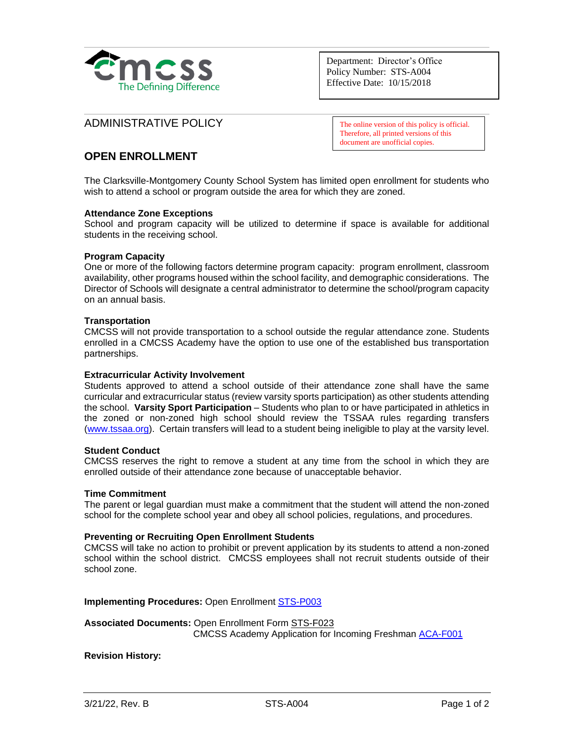

Department: Director's Office Policy Number: STS-A004 Effective Date: 10/15/2018

## ADMINISTRATIVE POLICY

The online version of this policy is official. Therefore, all printed versions of this document are unofficial copies.

# **OPEN ENROLLMENT**

The Clarksville-Montgomery County School System has limited open enrollment for students who wish to attend a school or program outside the area for which they are zoned.

## **Attendance Zone Exceptions**

School and program capacity will be utilized to determine if space is available for additional students in the receiving school.

#### **Program Capacity**

One or more of the following factors determine program capacity: program enrollment, classroom availability, other programs housed within the school facility, and demographic considerations. The Director of Schools will designate a central administrator to determine the school/program capacity on an annual basis.

## **Transportation**

CMCSS will not provide transportation to a school outside the regular attendance zone. Students enrolled in a CMCSS Academy have the option to use one of the established bus transportation partnerships.

#### **Extracurricular Activity Involvement**

Students approved to attend a school outside of their attendance zone shall have the same curricular and extracurricular status (review varsity sports participation) as other students attending the school. **Varsity Sport Participation** – Students who plan to or have participated in athletics in the zoned or non-zoned high school should review the TSSAA rules regarding transfers [\(www.tssaa.org\)](http://www.tssaa.org/). Certain transfers will lead to a student being ineligible to play at the varsity level.

## **Student Conduct**

CMCSS reserves the right to remove a student at any time from the school in which they are enrolled outside of their attendance zone because of unacceptable behavior.

#### **Time Commitment**

The parent or legal guardian must make a commitment that the student will attend the non-zoned school for the complete school year and obey all school policies, regulations, and procedures.

#### **Preventing or Recruiting Open Enrollment Students**

CMCSS will take no action to prohibit or prevent application by its students to attend a non-zoned school within the school district. CMCSS employees shall not recruit students outside of their school zone.

**Implementing Procedures:** Open Enrollmen[t STS-P003](https://employees.cmcss.net/misc/ViewISO?filename=STS-P003.pdf)

## **Associated Documents:** Open Enrollment Form [STS-F023](https://employees.cmcss.net/misc/ViewISO?filename=STS-F023.pdf) CMCSS Academy Application for Incoming Freshman [ACA-F001](https://employees.cmcss.net/misc/ViewISO?filename=ACA-F001.pdf)

## **Revision History:**